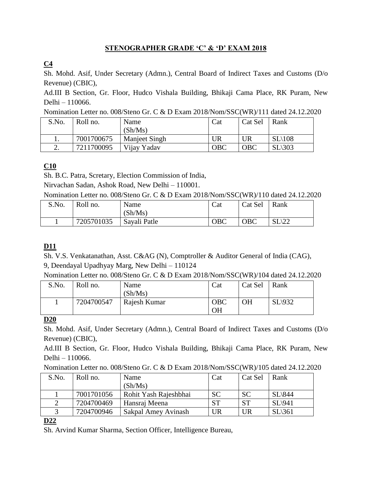## **STENOGRAPHER GRADE 'C' & 'D' EXAM 2018**

# **C4**

Sh. Mohd. Asif, Under Secretary (Admn.), Central Board of Indirect Taxes and Customs (D/o Revenue) (CBIC),

Ad.III B Section, Gr. Floor, Hudco Vishala Building, Bhikaji Cama Place, RK Puram, New Delhi – 110066.

Nomination Letter no. 008/Steno Gr. C & D Exam 2018/Nom/SSC(WR)/111 dated 24.12.2020

| S.No. | Roll no.   | Name                 | Cat        | Cat Sel    | Rank              |
|-------|------------|----------------------|------------|------------|-------------------|
|       |            | (Sh/Ms)              |            |            |                   |
| . .   | 7001700675 | <b>Manjeet Singh</b> | JR         | UR         | $SL\setminus 108$ |
| ـ ت   | 7211700095 | Vijay Yadav          | <b>OBC</b> | <b>OBC</b> | $SL$ \303         |

## **C10**

Sh. B.C. Patra, Scretary, Election Commission of India,

Nirvachan Sadan, Ashok Road, New Delhi – 110001.

Nomination Letter no. 008/Steno Gr. C & D Exam 2018/Nom/SSC(WR)/110 dated 24.12.2020

| S.No. | Roll no.   | Name<br>(Sh/Ms) | Cat | Cat Sel    | Rank |
|-------|------------|-----------------|-----|------------|------|
|       | 7205701035 | Savali Patle    | OBC | <b>OBC</b> | L/LL |

## **D11**

Sh. V.S. Venkatanathan, Asst. C&AG (N), Comptroller & Auditor General of India (CAG), 9, Deendayal Upadhyay Marg, New Delhi – 110124

Nomination Letter no. 008/Steno Gr. C & D Exam 2018/Nom/SSC(WR)/104 dated 24.12.2020

| S.No. | Roll no.   | Name<br>(Sh/Ms) | Cat                     | Cat Sel   | Rank    |
|-------|------------|-----------------|-------------------------|-----------|---------|
|       | 7204700547 | Rajesh Kumar    | <b>OBC</b><br><b>OH</b> | <b>OH</b> | SL(932) |

#### **D20**

Sh. Mohd. Asif, Under Secretary (Admn.), Central Board of Indirect Taxes and Customs (D/o Revenue) (CBIC),

Ad.III B Section, Gr. Floor, Hudco Vishala Building, Bhikaji Cama Place, RK Puram, New Delhi – 110066.

| Nomination Letter no. 008/Steno Gr. C & D Exam 2018/Nom/SSC(WR)/105 dated 24.12.2020 |  |  |  |  |  |
|--------------------------------------------------------------------------------------|--|--|--|--|--|
|--------------------------------------------------------------------------------------|--|--|--|--|--|

| S.No. | Roll no.   | Name                  | Cat       | Cat Sel   | Rank      |
|-------|------------|-----------------------|-----------|-----------|-----------|
|       |            | (Sh/Ms)               |           |           |           |
|       | 7001701056 | Rohit Yash Rajeshbhai | <b>SC</b> | <b>SC</b> | $SL\$ 844 |
|       | 7204700469 | Hansraj Meena         | <b>ST</b> | <b>ST</b> | SL(941)   |
|       | 7204700946 | Sakpal Amey Avinash   | UR        | UR        | SL(361)   |

#### **D22**

Sh. Arvind Kumar Sharma, Section Officer, Intelligence Bureau,